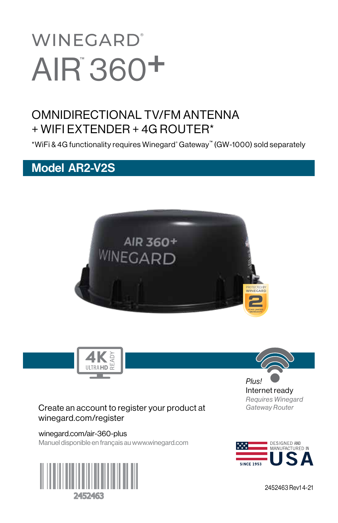# **WINEGARD®** AIR 360<sup>+</sup>

# OMNIDIRECTIONAL TV/FM ANTENNA + WIFI EXTENDER + 4G ROUTER\*

\*WiFi & 4G functionality requires Winegard® Gateway™ (GW-1000) sold separately

# Model AR2-V2S





#### Create an account to register your product at winegard.com/register

winegard.com/air-360-plus Manuel disponible en français au www.winegard.com





Internet ready *Requires Winegard Gateway Router*



2452463 Rev1 4-21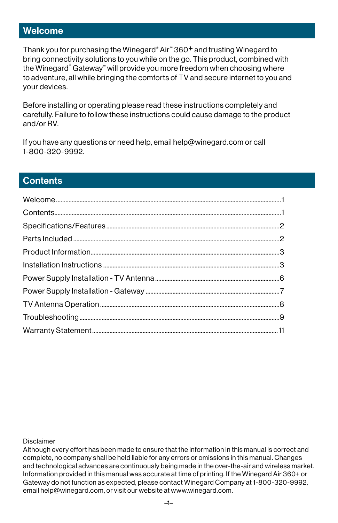### Welcome

Thank you for purchasing the Winegard® Air™ 360<sup>+</sup> and trusting Winegard to bring connectivity solutions to you while on the go. This product, combined with the Winegard<sup>®</sup> Gateway™ will provide you more freedom when choosing where to adventure, all while bringing the comforts of TV and secure internet to you and your devices.

Before installing or operating please read these instructions completely and carefully. Failure to follow these instructions could cause damage to the product and/or RV.

If you have any questions or need help, email help@winegard.com or call 1-800-320-9992.

# **Contents**

Disclaimer

Although every effort has been made to ensure that the information in this manual is correct and complete, no company shall be held liable for any errors or omissions in this manual. Changes and technological advances are continuously being made in the over-the-air and wireless market. Information provided in this manual was accurate at time of printing. If the Winegard Air 360+ or Gateway do not function as expected, please contact Winegard Company at 1-800-320-9992, email help@winegard.com, or visit our website at www.winegard.com.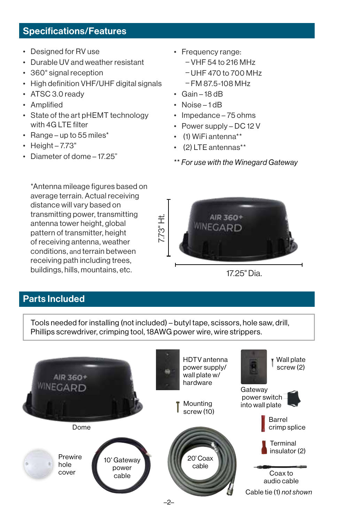# Specifications/Features

- Designed for RV use
- Durable UV and weather resistant
- 360° signal reception
- High definition VHF/UHF digital signals
- ATSC 3.0 ready
- Amplified
- State of the art pHEMT technology with 4G LTE filter
- Range up to 55 miles\*
- $\cdot$  Height 7.73"
- Diameter of dome 17.25"
- Frequency range:
	- VHF 54 to 216 MHz
	- UHF 470 to 700 MHz
	- FM 87.5-108 MHz
- Gain 18 dB
- Noise-1dB
- Impedance 75 ohms
- Power supply DC 12 V
- (1) WiFi antenna\*\*
- (2) LTE antennas\*\*
- \*\* *For use with the Winegard Gateway*

AIR 360+ WINEGARD

17.25" Dia.

\*Antenna mileage figures based on average terrain. Actual receiving distance will vary based on transmitting power, transmitting antenna tower height, global pattern of transmitter, height of receiving antenna, weather conditions, and terrain between receiving path including trees, buildings, hills, mountains, etc.

# Parts Included

Tools needed for installing (not included) – butyl tape, scissors, hole saw, drill, Phillips screwdriver, crimping tool, 18AWG power wire, wire strippers.

7.73" Ht.

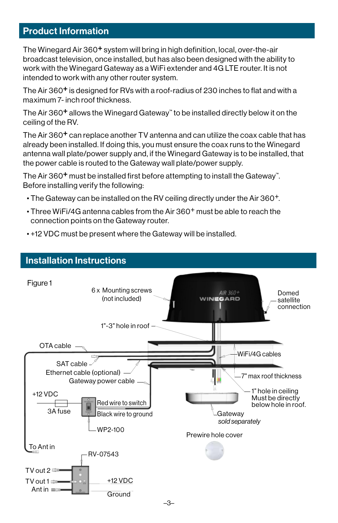# Product Information

The Winegard Air 360+ system will bring in high definition, local, over-the-air broadcast television, once installed, but has also been designed with the ability to work with the Winegard Gateway as a WiFi extender and 4G LTE router. It is not intended to work with any other router system.

The Air 360+ is designed for RVs with a roof-radius of 230 inches to flat and with a maximum 7- inch roof thickness.

The Air 360+ allows the Winegard Gateway™ to be installed directly below it on the ceiling of the RV.

The Air 360<sup>+</sup> can replace another TV antenna and can utilize the coax cable that has already been installed. If doing this, you must ensure the coax runs to the Winegard antenna wall plate/power supply and, if the Winegard Gateway is to be installed, that the power cable is routed to the Gateway wall plate/power supply.

The Air 360<sup>+</sup> must be installed first before attempting to install the Gateway<sup>"</sup>. Before installing verify the following:

- The Gateway can be installed on the RV ceiling directly under the Air 360+.
- Three WiFi/4G antenna cables from the Air 360+ must be able to reach the connection points on the Gateway router.



• +12 VDC must be present where the Gateway will be installed.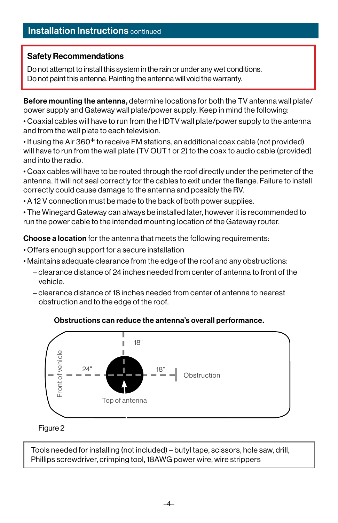# **Installation Instructions** continued

#### Safety Recommendations

Do not attempt to install this system in the rain or under any wet conditions. Do not paint this antenna. Painting the antenna will void the warranty.

Before mounting the antenna, determine locations for both the TV antenna wall plate/ power supply and Gateway wall plate/power supply. Keep in mind the following:

• Coaxial cables will have to run from the HDTV wall plate/power supply to the antenna and from the wall plate to each television.

• If using the Air 360+ to receive FM stations, an additional coax cable (not provided) will have to run from the wall plate (TV OUT 1 or 2) to the coax to audio cable (provided) and into the radio.

• Coax cables will have to be routed through the roof directly under the perimeter of the antenna. It will not seal correctly for the cables to exit under the flange. Failure to install correctly could cause damage to the antenna and possibly the RV.

• A 12 V connection must be made to the back of both power supplies.

• The Winegard Gateway can always be installed later, however it is recommended to run the power cable to the intended mounting location of the Gateway router.

Choose a location for the antenna that meets the following requirements:

- Offers enough support for a secure installation
- Maintains adequate clearance from the edge of the roof and any obstructions:
	- clearance distance of 24 inches needed from center of antenna to front of the vehicle.
	- clearance distance of 18 inches needed from center of antenna to nearest obstruction and to the edge of the roof.



#### Obstructions can reduce the antenna's overall performance.

#### Figure 2

Tools needed for installing (not included) – butyl tape, scissors, hole saw, drill, Phillips screwdriver, crimping tool, 18AWG power wire, wire strippers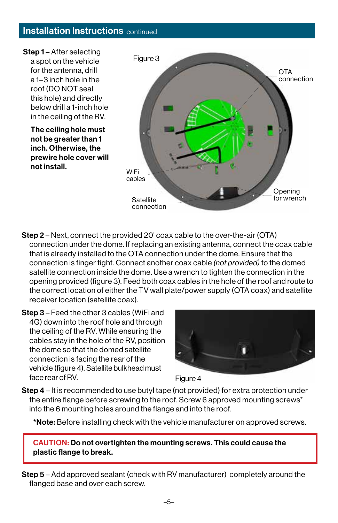### **Installation Instructions** continued



- Step 2 Next, connect the provided 20' coax cable to the over-the-air (OTA) connection under the dome. If replacing an existing antenna, connect the coax cable that is already installed to the OTA connection under the dome. Ensure that the connection is finger tight. Connect another coax cable *(not provided)* to the domed satellite connection inside the dome. Use a wrench to tighten the connection in the opening provided (figure 3). Feed both coax cables in the hole of the roof and route to the correct location of either the TV wall plate/power supply (OTA coax) and satellite receiver location (satellite coax).
- Step 3 Feed the other 3 cables (WiFi and 4G) down into the roof hole and through the ceiling of the RV. While ensuring the cables stay in the hole of the RV, position the dome so that the domed satellite connection is facing the rear of the vehicle (figure 4). Satellite bulkhead must face rear of RV.





**Step 4** – It is recommended to use butyl tape (not provided) for extra protection under the entire flange before screwing to the roof. Screw 6 approved mounting screws\* into the 6 mounting holes around the flange and into the roof.

\*Note: Before installing check with the vehicle manufacturer on approved screws.

CAUTION: Do not overtighten the mounting screws. This could cause the plastic flange to break.

Step 5 – Add approved sealant (check with RV manufacturer) completely around the flanged base and over each screw.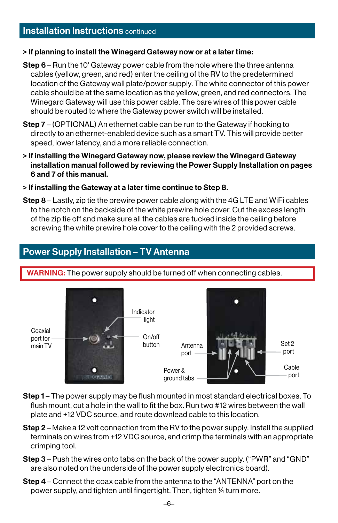#### > If planning to install the Winegard Gateway now or at a later time:

- Step 6 Run the 10' Gateway power cable from the hole where the three antenna cables (yellow, green, and red) enter the ceiling of the RV to the predetermined location of the Gateway wall plate/power supply. The white connector of this power cable should be at the same location as the yellow, green, and red connectors. The Winegard Gateway will use this power cable. The bare wires of this power cable should be routed to where the Gateway power switch will be installed.
- Step 7 (OPTIONAL) An ethernet cable can be run to the Gateway if hooking to directly to an ethernet-enabled device such as a smart TV. This will provide better speed, lower latency, and a more reliable connection.
- > If installing the Winegard Gateway now, please review the Winegard Gateway installation manual followed by reviewing the Power Supply Installation on pages 6 and 7 of this manual.
- > If installing the Gateway at a later time continue to Step 8.
- Step 8 Lastly, zip tie the prewire power cable along with the 4G LTE and WiFi cables to the notch on the backside of the white prewire hole cover. Cut the excess length of the zip tie off and make sure all the cables are tucked inside the ceiling before screwing the white prewire hole cover to the ceiling with the 2 provided screws.

# Power Supply Installation – TV Antenna

WARNING: The power supply should be turned off when connecting cables.



- Step 1 The power supply may be flush mounted in most standard electrical boxes. To flush mount, cut a hole in the wall to fit the box. Run two #12 wires between the wall plate and +12 VDC source, and route downlead cable to this location.
- Step 2 Make a 12 volt connection from the RV to the power supply. Install the supplied terminals on wires from +12 VDC source, and crimp the terminals with an appropriate crimping tool.
- Step 3 Push the wires onto tabs on the back of the power supply. ("PWR" and "GND" are also noted on the underside of the power supply electronics board).
- Step 4 Connect the coax cable from the antenna to the "ANTENNA" port on the power supply, and tighten until fingertight. Then, tighten ¼ turn more.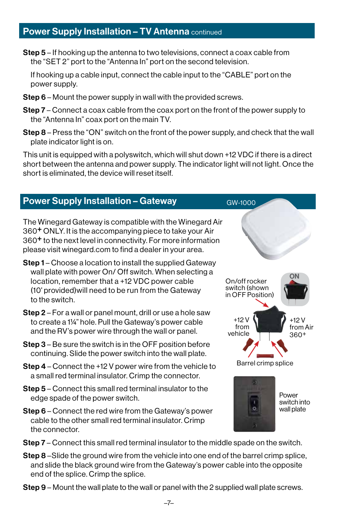# **Power Supply Installation - TV Antenna continued**

Step 5 – If hooking up the antenna to two televisions, connect a coax cable from the "SET 2" port to the "Antenna In" port on the second television.

If hooking up a cable input, connect the cable input to the "CABLE" port on the power supply.

- Step 6 Mount the power supply in wall with the provided screws.
- **Step 7** Connect a coax cable from the coax port on the front of the power supply to the "Antenna In" coax port on the main TV.
- Step 8 Press the "ON" switch on the front of the power supply, and check that the wall plate indicator light is on.

This unit is equipped with a polyswitch, which will shut down +12 VDC if there is a direct short between the antenna and power supply. The indicator light will not light. Once the short is eliminated, the device will reset itself.

# Power Supply Installation – Gateway

The Winegard Gateway is compatible with the Winegard Air 360+ ONLY. It is the accompanying piece to take your Air 360+ to the next level in connectivity. For more information please visit winegard.com to find a dealer in your area.

- **Step 1** Choose a location to install the supplied Gateway wall plate with power On/ Off switch. When selecting a location, remember that a +12 VDC power cable (10' provided)will need to be run from the Gateway to the switch.
- Step 2 For a wall or panel mount, drill or use a hole saw to create a 1¼" hole. Pull the Gateway's power cable and the RV's power wire through the wall or panel.
- Step 3 Be sure the switch is in the OFF position before continuing. Slide the power switch into the wall plate.
- Step 4 Connect the +12 V power wire from the vehicle to a small red terminal insulator. Crimp the connector.
- Step 5 Connect this small red terminal insulator to the edge spade of the power switch.
- Step 6 Connect the red wire from the Gateway's power cable to the other small red terminal insulator. Crimp the connector.
- On/off rocker switch (shown in OFF Position) +12 V from vehicle +12 V from Air 360+ Barrel crimp splice ON **Power** switch into wall plate

GW-1000

- Step 7 Connect this small red terminal insulator to the middle spade on the switch.
- Step 8 –Slide the ground wire from the vehicle into one end of the barrel crimp splice, and slide the black ground wire from the Gateway's power cable into the opposite end of the splice. Crimp the splice.
- Step 9 Mount the wall plate to the wall or panel with the 2 supplied wall plate screws.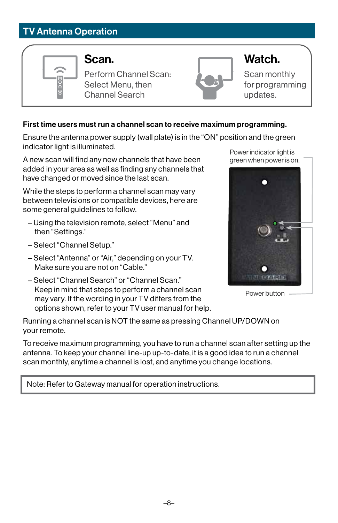# TV Antenna Operation



Perform Channel Scan: Select Menu, then Channel Search



Scan monthly for programming updates.

#### First time users must run a channel scan to receive maximum programming.

Ensure the antenna power supply (wall plate) is in the "ON" position and the green indicator light is illuminated.

A new scan will find any new channels that have been added in your area as well as finding any channels that have changed or moved since the last scan.

While the steps to perform a channel scan may vary between televisions or compatible devices, here are some general guidelines to follow.

- Using the television remote, select "Menu" and then "Settings."
- Select "Channel Setup."
- Select "Antenna" or "Air," depending on your TV. Make sure you are not on "Cable."
- Select "Channel Search" or "Channel Scan." Keep in mind that steps to perform a channel scan may vary. If the wording in your TV differs from the options shown, refer to your TV user manual for help.

Power indicator light is green when power is on.



Power button

Running a channel scan is NOT the same as pressing Channel UP/DOWN on your remote.

To receive maximum programming, you have to run a channel scan after setting up the antenna. To keep your channel line-up up-to-date, it is a good idea to run a channel scan monthly, anytime a channel is lost, and anytime you change locations.

Note: Refer to Gateway manual for operation instructions.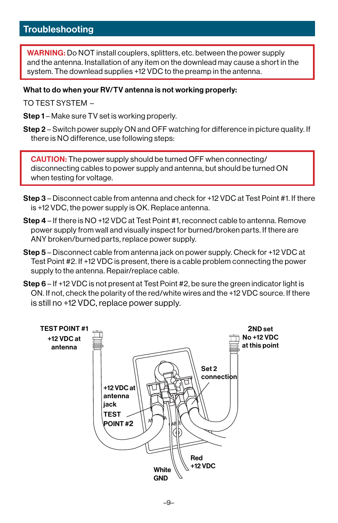# **Troubleshooting**

WARNING: Do NOT install couplers, splitters, etc. between the power supply and the antenna. Installation of any item on the downlead may cause a short in the system. The downlead supplies +12 VDC to the preamp in the antenna.

#### What to do when your RV/TV antenna is not working properly:

TO TEST SYSTEM –

- Step 1 Make sure TV set is working properly.
- Step 2 Switch power supply ON and OFF watching for difference in picture quality. If there is NO difference, use following steps:

CAUTION: The power supply should be turned OFF when connecting/ disconnecting cables to power supply and antenna, but should be turned ON when testing for voltage.

- Step 3 Disconnect cable from antenna and check for +12 VDC at Test Point #1. If there is +12 VDC, the power supply is OK. Replace antenna.
- Step 4 If there is NO +12 VDC at Test Point #1, reconnect cable to antenna. Remove power supply from wall and visually inspect for burned/broken parts. If there are ANY broken/burned parts, replace power supply.
- Step 5 Disconnect cable from antenna jack on power supply. Check for +12 VDC at Test Point #2. If +12 VDC is present, there is a cable problem connecting the power supply to the antenna. Repair/replace cable.
- Step 6 If +12 VDC is not present at Test Point #2, be sure the green indicator light is ON. If not, check the polarity of the red/white wires and the +12 VDC source. If there is still no +12 VDC, replace power supply.

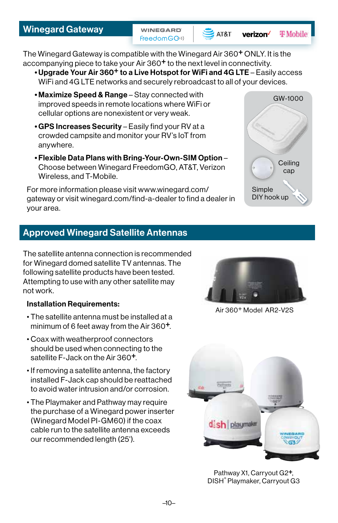**WINEGARD** FreedomGO<sup>(1)</sup>



verizon<sup>/</sup> **T** Mobile

> **Ceiling** cap

GW-1000

The Winegard Gateway is compatible with the Winegard Air 360<sup>+</sup> ONLY. It is the accompanying piece to take your Air 360<sup>+</sup> to the next level in connectivity.

- •Upgrade Your Air 360+ to a Live Hotspot for WiFi and 4G LTE Easily access WiFi and 4G LTE networks and securely rebroadcast to all of your devices.
- Maximize Speed & Range Stay connected with improved speeds in remote locations where WiFi or cellular options are nonexistent or very weak.
- GPS Increases Security Easily find your RV at a crowded campsite and monitor your RV's IoT from anywhere.
- Flexible Data Plans with Bring-Your-Own-SIM Option Choose between Winegard FreedomGO, AT&T, Verizon Wireless, and T-Mobile.

For more information please visit www.winegard.com/ gateway or visit winegard.com/find-a-dealer to find a dealer in your area.

# Approved Winegard Satellite Antennas

The satellite antenna connection is recommended for Winegard domed satellite TV antennas. The following satellite products have been tested. Attempting to use with any other satellite may not work.

#### Installation Requirements:

- The satellite antenna must be installed at a minimum of 6 feet away from the Air 360<sup>+</sup>.
- Coax with weatherproof connectors should be used when connecting to the satellite F-Jack on the Air 360<sup>+</sup>.
- If removing a satellite antenna, the factory installed F-Jack cap should be reattached to avoid water intrusion and/or corrosion.
- The Playmaker and Pathway may require the purchase of a Winegard power inserter (Winegard Model PI-GM60) if the coax cable run to the satellite antenna exceeds our recommended length (25').



Simple DIY hook up

Air 360+ Model AR2-V2S



Pathway X1, Carryout G2+, DISH® Playmaker, Carryout G3